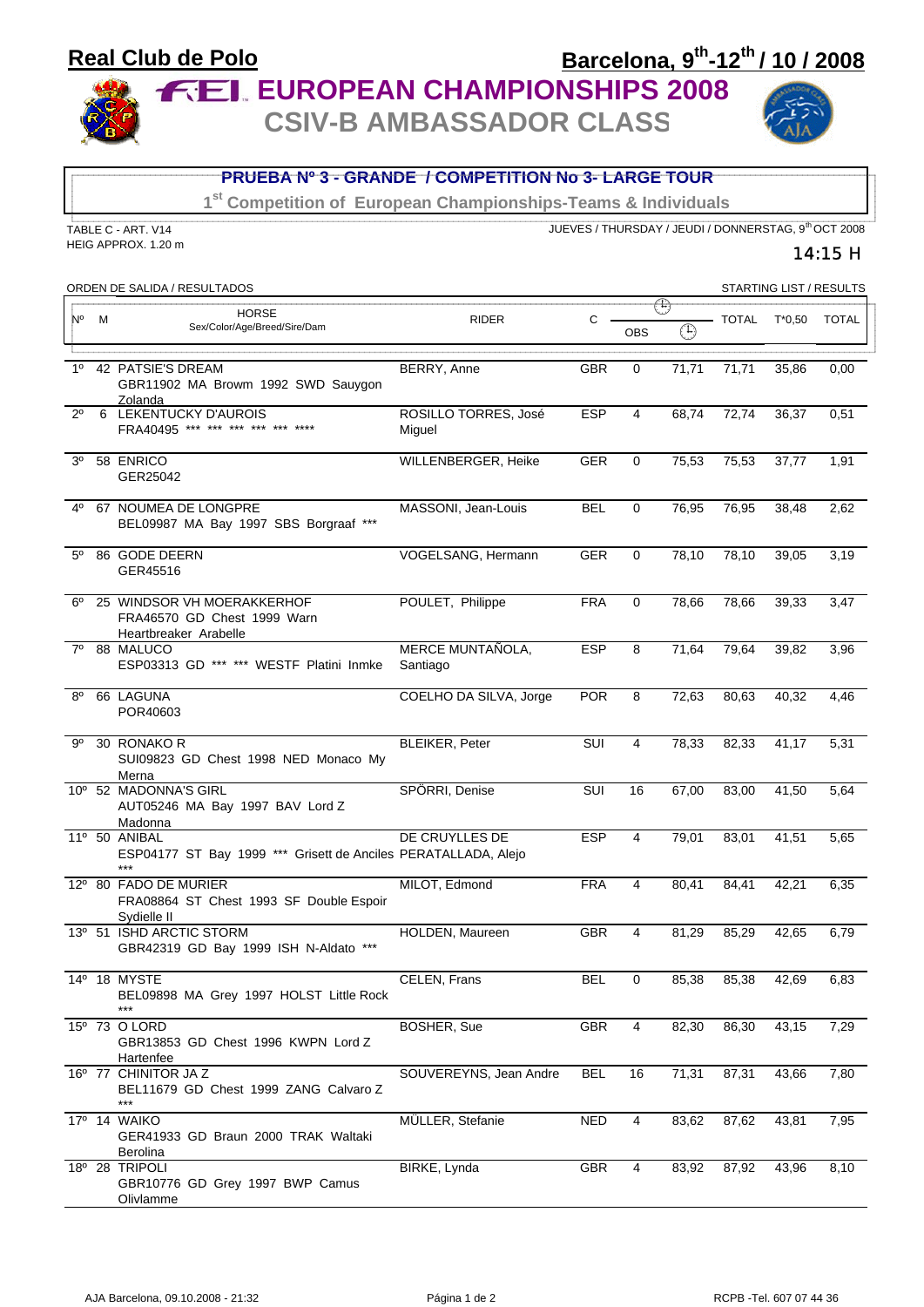## Barcelona, 9th-12th / 10 / 2008 **Real Club de Polo FEL EUROPEAN CHAMPIONSHIPS 2008**

**CSIV-B AMBASSADOR CLASS** 



| <b>PRUEBA Nº 3 - GRANDE / COMPETITION No 3- LARGE TOUR</b>                |                                                                                    |                                |                                                      |              |             |              |          |                         |
|---------------------------------------------------------------------------|------------------------------------------------------------------------------------|--------------------------------|------------------------------------------------------|--------------|-------------|--------------|----------|-------------------------|
| 1 <sup>st</sup> Competition of European Championships-Teams & Individuals |                                                                                    |                                |                                                      |              |             |              |          |                         |
|                                                                           | TABLE C - ART. V14                                                                 |                                | JUEVES / THURSDAY / JEUDI / DONNERSTAG, 9th OCT 2008 |              |             |              |          |                         |
| HEIG APPROX. 1.20 m<br>14:15 H                                            |                                                                                    |                                |                                                      |              |             |              |          |                         |
|                                                                           | ORDEN DE SALIDA / RESULTADOS                                                       |                                |                                                      |              |             |              |          | STARTING LIST / RESULTS |
| N٥<br>M                                                                   | <b>HORSE</b>                                                                       | <b>RIDER</b>                   | $\mathsf{C}$                                         |              | $\bigoplus$ | <b>TOTAL</b> | $T*0,50$ | <b>TOTAL</b>            |
|                                                                           | Sex/Color/Age/Breed/Sire/Dam                                                       |                                |                                                      | <b>OBS</b>   | $\bigoplus$ |              |          |                         |
| 1 <sup>0</sup>                                                            | 42 PATSIE'S DREAM<br>GBR11902 MA Browm 1992 SWD Sauygon<br>Zolanda                 | BERRY, Anne                    | <b>GBR</b>                                           | $\mathbf{0}$ | 71,71       | 71,71        | 35,86    | 0,00                    |
| $2^{\circ}$                                                               | 6 LEKENTUCKY D'AUROIS<br>FRA40495 *** *** *** ***                                  | ROSILLO TORRES, José<br>Miguel | <b>ESP</b>                                           | 4            | 68,74       | 72,74        | 36,37    | 0,51                    |
| 3 <sup>0</sup>                                                            | 58 ENRICO<br>GER25042                                                              | WILLENBERGER, Heike            | <b>GER</b>                                           | 0            | 75,53       | 75,53        | 37,77    | 1,91                    |
| 40                                                                        | 67 NOUMEA DE LONGPRE<br>BEL09987 MA Bay 1997 SBS Borgraaf ***                      | MASSONI, Jean-Louis            | <b>BEL</b>                                           | $\mathbf{0}$ | 76.95       | 76,95        | 38,48    | 2,62                    |
| $5^{\circ}$                                                               | 86 GODE DEERN<br>GER45516                                                          | VOGELSANG, Hermann             | <b>GER</b>                                           | 0            | 78.10       | 78,10        | 39.05    | 3,19                    |
| $6^{\circ}$                                                               | 25 WINDSOR VH MOERAKKERHOF<br>FRA46570 GD Chest 1999 Warn<br>Heartbreaker Arabelle | POULET, Philippe               | <b>FRA</b>                                           | $\mathbf 0$  | 78,66       | 78,66        | 39,33    | 3,47                    |
| $7^\circ$                                                                 | 88 MALUCO<br>ESP03313 GD *** *** WESTF Platini Inmke                               | MERCE MUNTAÑOLA,<br>Santiago   | <b>ESP</b>                                           | 8            | 71,64       | 79,64        | 39,82    | 3,96                    |
| $8^{\circ}$                                                               | 66 LAGUNA<br>POR40603                                                              | COELHO DA SILVA, Jorge         | <b>POR</b>                                           | 8            | 72,63       | 80,63        | 40,32    | 4,46                    |
| 90                                                                        | 30 RONAKO R<br>SUI09823 GD Chest 1998 NED Monaco My<br>Merna                       | <b>BLEIKER, Peter</b>          | SUI                                                  | 4            | 78,33       | 82,33        | 41,17    | 5,31                    |
|                                                                           | 10° 52 MADONNA'S GIRL<br>AUT05246 MA Bay 1997 BAV Lord Z<br>Madonna                | SPÖRRI, Denise                 | SUI                                                  | 16           | 67,00       | 83,00        | 41,50    | 5,64                    |
|                                                                           | 11º 50 ANIBAL<br>ESP04177 ST Bay 1999 *** Grisett de Anciles PERATALLADA, Alejo    | DE CRUYLLES DE                 | <b>ESP</b>                                           | 4            | 79,01       | 83,01        | 41,51    | 5,65                    |
|                                                                           | 12º 80 FADO DE MURIER<br>FRA08864 ST Chest 1993 SF Double Espoir<br>Sydielle II    | MILOT, Edmond                  | <b>FRA</b>                                           | 4            | 80,41       | 84,41        | 42,21    | 6,35                    |
|                                                                           | 13º 51 ISHD ARCTIC STORM<br>GBR42319 GD Bay 1999 ISH N-Aldato ***                  | HOLDEN, Maureen                | <b>GBR</b>                                           | 4            | 81,29       | 85,29        | 42,65    | 6,79                    |
|                                                                           | 14º 18 MYSTE<br>BEL09898 MA Grey 1997 HOLST Little Rock<br>***                     | CELEN, Frans                   | <b>BEL</b>                                           | 0            | 85,38       | 85,38        | 42,69    | 6,83                    |
|                                                                           | 15º 73 O LORD<br>GBR13853 GD Chest 1996 KWPN Lord Z<br>Hartenfee                   | BOSHER, Sue                    | GBR                                                  | 4            | 82,30       | 86,30        | 43,15    | 7,29                    |
|                                                                           | 16° 77 CHINITOR JA Z<br>BEL11679 GD Chest 1999 ZANG Calvaro Z<br>$***$             | SOUVEREYNS, Jean Andre         | <b>BEL</b>                                           | 16           | 71,31       | 87,31        | 43,66    | 7,80                    |
|                                                                           | 17º 14 WAIKO<br>GER41933 GD Braun 2000 TRAK Waltaki<br><b>Berolina</b>             | MÜLLER, Stefanie               | <b>NED</b>                                           | 4            | 83,62       | 87,62        | 43,81    | 7,95                    |
|                                                                           | $18^{\circ}$ 28 TRIPOLI<br>GBR10776 GD Grey 1997 BWP Camus<br><b>Olivlamme</b>     | BIRKE, Lynda                   | GBR                                                  | 4            | 83,92       | 87,92        | 43,96    | 8,10                    |